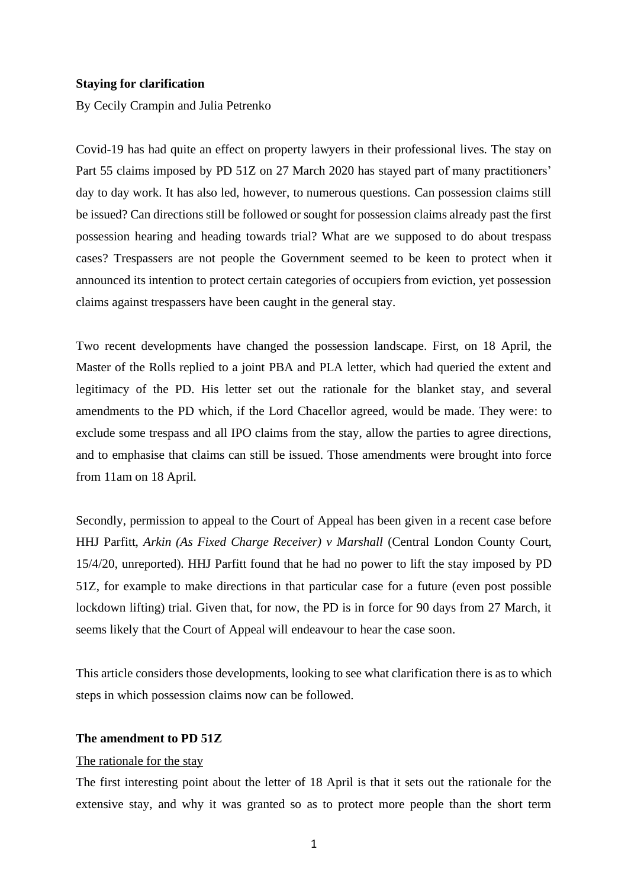### **Staying for clarification**

By Cecily Crampin and Julia Petrenko

Covid-19 has had quite an effect on property lawyers in their professional lives. The stay on Part 55 claims imposed by PD 51Z on 27 March 2020 has stayed part of many practitioners' day to day work. It has also led, however, to numerous questions. Can possession claims still be issued? Can directions still be followed or sought for possession claims already past the first possession hearing and heading towards trial? What are we supposed to do about trespass cases? Trespassers are not people the Government seemed to be keen to protect when it announced its intention to protect certain categories of occupiers from eviction, yet possession claims against trespassers have been caught in the general stay.

Two recent developments have changed the possession landscape. First, on 18 April, the Master of the Rolls replied to a joint PBA and PLA letter, which had queried the extent and legitimacy of the PD. His letter set out the rationale for the blanket stay, and several amendments to the PD which, if the Lord Chacellor agreed, would be made. They were: to exclude some trespass and all IPO claims from the stay, allow the parties to agree directions, and to emphasise that claims can still be issued. Those amendments were brought into force from 11am on 18 April.

Secondly, permission to appeal to the Court of Appeal has been given in a recent case before HHJ Parfitt, *Arkin (As Fixed Charge Receiver) v Marshall* (Central London County Court, 15/4/20, unreported). HHJ Parfitt found that he had no power to lift the stay imposed by PD 51Z, for example to make directions in that particular case for a future (even post possible lockdown lifting) trial. Given that, for now, the PD is in force for 90 days from 27 March, it seems likely that the Court of Appeal will endeavour to hear the case soon.

This article considers those developments, looking to see what clarification there is as to which steps in which possession claims now can be followed.

# **The amendment to PD 51Z**

#### The rationale for the stay

The first interesting point about the letter of 18 April is that it sets out the rationale for the extensive stay, and why it was granted so as to protect more people than the short term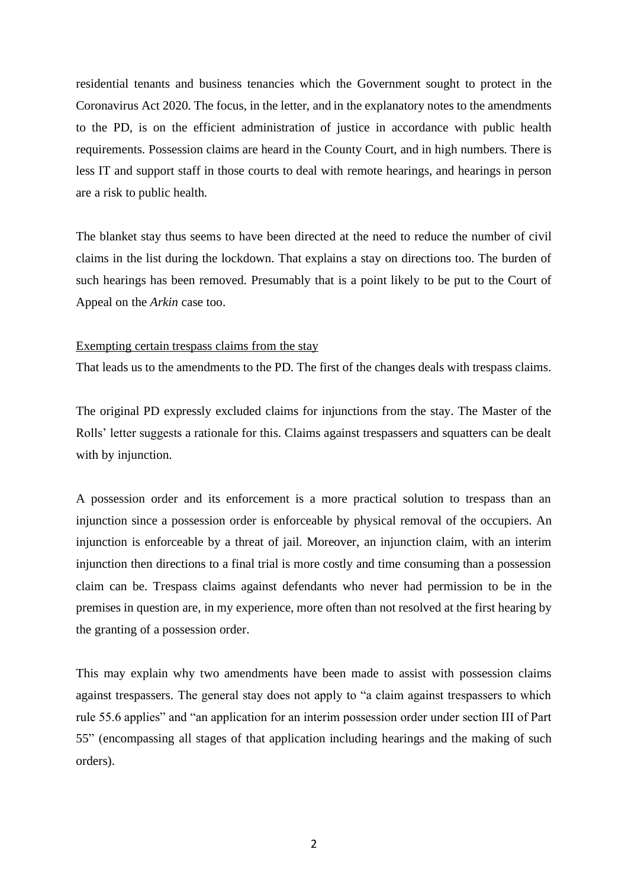residential tenants and business tenancies which the Government sought to protect in the Coronavirus Act 2020. The focus, in the letter, and in the explanatory notes to the amendments to the PD, is on the efficient administration of justice in accordance with public health requirements. Possession claims are heard in the County Court, and in high numbers. There is less IT and support staff in those courts to deal with remote hearings, and hearings in person are a risk to public health.

The blanket stay thus seems to have been directed at the need to reduce the number of civil claims in the list during the lockdown. That explains a stay on directions too. The burden of such hearings has been removed. Presumably that is a point likely to be put to the Court of Appeal on the *Arkin* case too.

#### Exempting certain trespass claims from the stay

That leads us to the amendments to the PD. The first of the changes deals with trespass claims.

The original PD expressly excluded claims for injunctions from the stay. The Master of the Rolls' letter suggests a rationale for this. Claims against trespassers and squatters can be dealt with by injunction.

A possession order and its enforcement is a more practical solution to trespass than an injunction since a possession order is enforceable by physical removal of the occupiers. An injunction is enforceable by a threat of jail. Moreover, an injunction claim, with an interim injunction then directions to a final trial is more costly and time consuming than a possession claim can be. Trespass claims against defendants who never had permission to be in the premises in question are, in my experience, more often than not resolved at the first hearing by the granting of a possession order.

This may explain why two amendments have been made to assist with possession claims against trespassers. The general stay does not apply to "a claim against trespassers to which rule 55.6 applies" and "an application for an interim possession order under section III of Part 55" (encompassing all stages of that application including hearings and the making of such orders).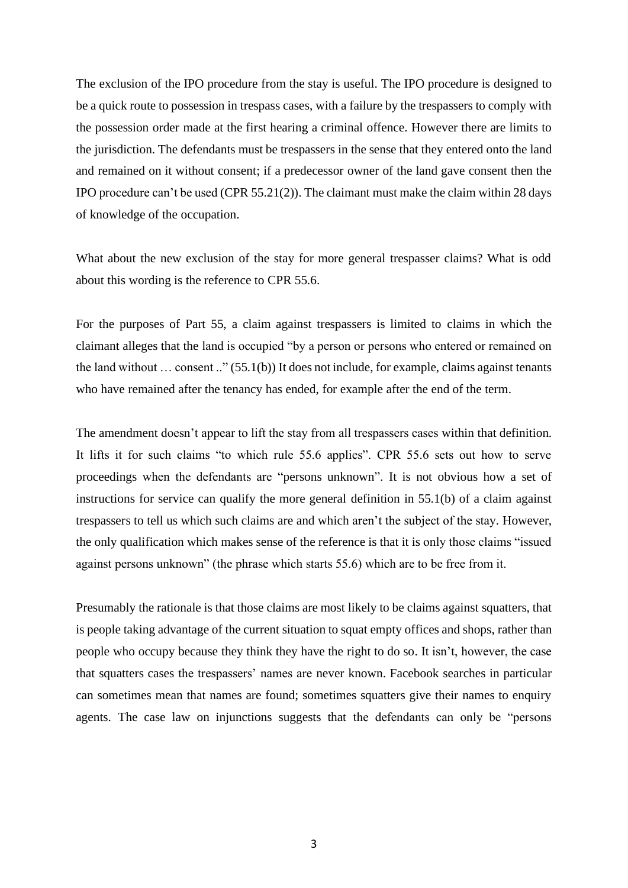The exclusion of the IPO procedure from the stay is useful. The IPO procedure is designed to be a quick route to possession in trespass cases, with a failure by the trespassers to comply with the possession order made at the first hearing a criminal offence. However there are limits to the jurisdiction. The defendants must be trespassers in the sense that they entered onto the land and remained on it without consent; if a predecessor owner of the land gave consent then the IPO procedure can't be used (CPR 55.21(2)). The claimant must make the claim within 28 days of knowledge of the occupation.

What about the new exclusion of the stay for more general trespasser claims? What is odd about this wording is the reference to CPR 55.6.

For the purposes of Part 55, a claim against trespassers is limited to claims in which the claimant alleges that the land is occupied "by a person or persons who entered or remained on the land without … consent .." (55.1(b)) It does not include, for example, claims against tenants who have remained after the tenancy has ended, for example after the end of the term.

The amendment doesn't appear to lift the stay from all trespassers cases within that definition. It lifts it for such claims "to which rule 55.6 applies". CPR 55.6 sets out how to serve proceedings when the defendants are "persons unknown". It is not obvious how a set of instructions for service can qualify the more general definition in 55.1(b) of a claim against trespassers to tell us which such claims are and which aren't the subject of the stay. However, the only qualification which makes sense of the reference is that it is only those claims "issued against persons unknown" (the phrase which starts 55.6) which are to be free from it.

Presumably the rationale is that those claims are most likely to be claims against squatters, that is people taking advantage of the current situation to squat empty offices and shops, rather than people who occupy because they think they have the right to do so. It isn't, however, the case that squatters cases the trespassers' names are never known. Facebook searches in particular can sometimes mean that names are found; sometimes squatters give their names to enquiry agents. The case law on injunctions suggests that the defendants can only be "persons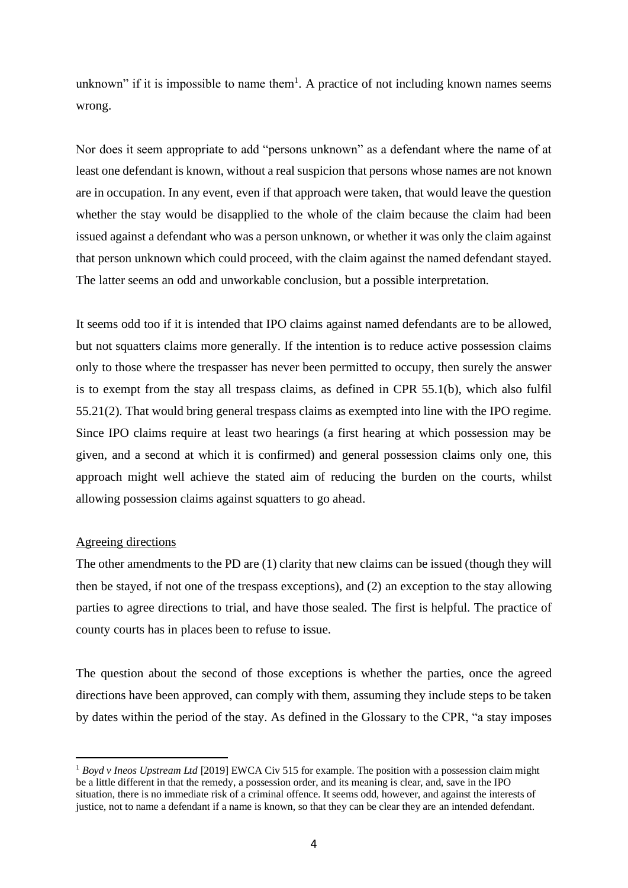unknown" if it is impossible to name them<sup>1</sup>. A practice of not including known names seems wrong.

Nor does it seem appropriate to add "persons unknown" as a defendant where the name of at least one defendant is known, without a real suspicion that persons whose names are not known are in occupation. In any event, even if that approach were taken, that would leave the question whether the stay would be disapplied to the whole of the claim because the claim had been issued against a defendant who was a person unknown, or whether it was only the claim against that person unknown which could proceed, with the claim against the named defendant stayed. The latter seems an odd and unworkable conclusion, but a possible interpretation.

It seems odd too if it is intended that IPO claims against named defendants are to be allowed, but not squatters claims more generally. If the intention is to reduce active possession claims only to those where the trespasser has never been permitted to occupy, then surely the answer is to exempt from the stay all trespass claims, as defined in CPR 55.1(b), which also fulfil 55.21(2). That would bring general trespass claims as exempted into line with the IPO regime. Since IPO claims require at least two hearings (a first hearing at which possession may be given, and a second at which it is confirmed) and general possession claims only one, this approach might well achieve the stated aim of reducing the burden on the courts, whilst allowing possession claims against squatters to go ahead.

## Agreeing directions

The other amendments to the PD are (1) clarity that new claims can be issued (though they will then be stayed, if not one of the trespass exceptions), and (2) an exception to the stay allowing parties to agree directions to trial, and have those sealed. The first is helpful. The practice of county courts has in places been to refuse to issue.

The question about the second of those exceptions is whether the parties, once the agreed directions have been approved, can comply with them, assuming they include steps to be taken by dates within the period of the stay. As defined in the Glossary to the CPR, "a stay imposes

<sup>&</sup>lt;sup>1</sup> Boyd v Ineos Upstream Ltd [2019] EWCA Civ 515 for example. The position with a possession claim might be a little different in that the remedy, a possession order, and its meaning is clear, and, save in the IPO situation, there is no immediate risk of a criminal offence. It seems odd, however, and against the interests of justice, not to name a defendant if a name is known, so that they can be clear they are an intended defendant.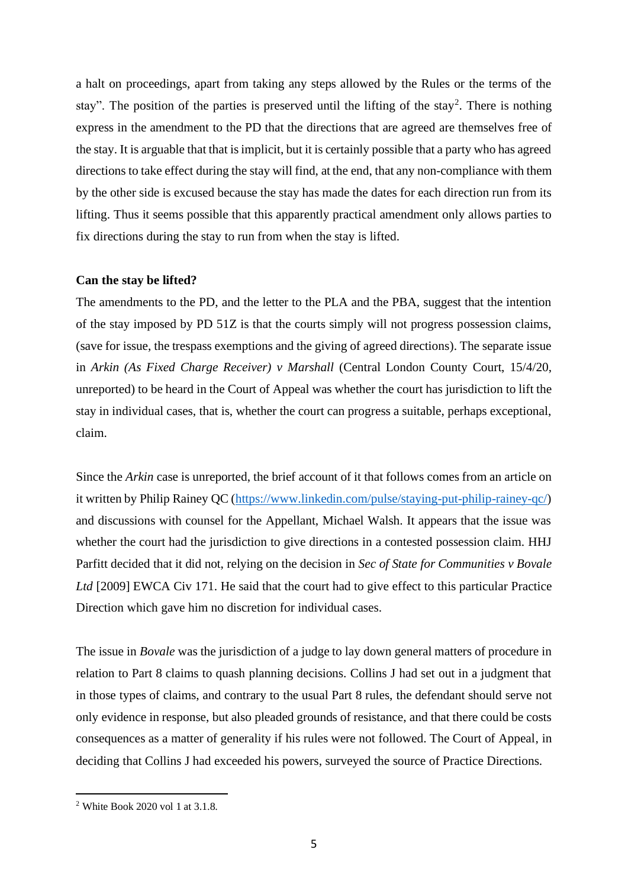a halt on proceedings, apart from taking any steps allowed by the Rules or the terms of the stay". The position of the parties is preserved until the lifting of the stay<sup>2</sup>. There is nothing express in the amendment to the PD that the directions that are agreed are themselves free of the stay. It is arguable that that is implicit, but it is certainly possible that a party who has agreed directions to take effect during the stay will find, at the end, that any non-compliance with them by the other side is excused because the stay has made the dates for each direction run from its lifting. Thus it seems possible that this apparently practical amendment only allows parties to fix directions during the stay to run from when the stay is lifted.

#### **Can the stay be lifted?**

The amendments to the PD, and the letter to the PLA and the PBA, suggest that the intention of the stay imposed by PD 51Z is that the courts simply will not progress possession claims, (save for issue, the trespass exemptions and the giving of agreed directions). The separate issue in *Arkin (As Fixed Charge Receiver) v Marshall* (Central London County Court, 15/4/20, unreported) to be heard in the Court of Appeal was whether the court has jurisdiction to lift the stay in individual cases, that is, whether the court can progress a suitable, perhaps exceptional, claim.

Since the *Arkin* case is unreported, the brief account of it that follows comes from an article on it written by Philip Rainey QC [\(https://www.linkedin.com/pulse/staying-put-philip-rainey-qc/\)](https://www.linkedin.com/pulse/staying-put-philip-rainey-qc/) and discussions with counsel for the Appellant, Michael Walsh. It appears that the issue was whether the court had the jurisdiction to give directions in a contested possession claim. HHJ Parfitt decided that it did not, relying on the decision in *Sec of State for Communities v Bovale Ltd* [2009] EWCA Civ 171. He said that the court had to give effect to this particular Practice Direction which gave him no discretion for individual cases.

The issue in *Bovale* was the jurisdiction of a judge to lay down general matters of procedure in relation to Part 8 claims to quash planning decisions. Collins J had set out in a judgment that in those types of claims, and contrary to the usual Part 8 rules, the defendant should serve not only evidence in response, but also pleaded grounds of resistance, and that there could be costs consequences as a matter of generality if his rules were not followed. The Court of Appeal, in deciding that Collins J had exceeded his powers, surveyed the source of Practice Directions.

<sup>&</sup>lt;sup>2</sup> White Book 2020 vol 1 at 3.1.8.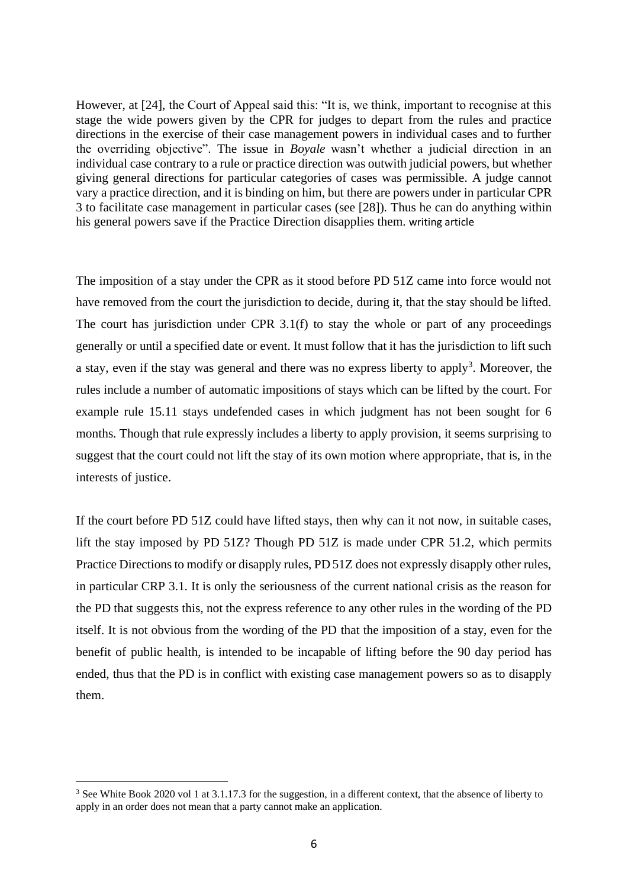However, at [24], the Court of Appeal said this: "It is, we think, important to recognise at this stage the wide powers given by the CPR for judges to depart from the rules and practice directions in the exercise of their case management powers in individual cases and to further the overriding objective". The issue in *Boyale* wasn't whether a judicial direction in an individual case contrary to a rule or practice direction was outwith judicial powers, but whether giving general directions for particular categories of cases was permissible. A judge cannot vary a practice direction, and it is binding on him, but there are powers under in particular CPR 3 to facilitate case management in particular cases (see [28]). Thus he can do anything within his general powers save if the Practice Direction disapplies them. writing article

The imposition of a stay under the CPR as it stood before PD 51Z came into force would not have removed from the court the jurisdiction to decide, during it, that the stay should be lifted. The court has jurisdiction under CPR 3.1(f) to stay the whole or part of any proceedings generally or until a specified date or event. It must follow that it has the jurisdiction to lift such a stay, even if the stay was general and there was no express liberty to apply<sup>3</sup>. Moreover, the rules include a number of automatic impositions of stays which can be lifted by the court. For example rule 15.11 stays undefended cases in which judgment has not been sought for 6 months. Though that rule expressly includes a liberty to apply provision, it seems surprising to suggest that the court could not lift the stay of its own motion where appropriate, that is, in the interests of justice.

If the court before PD 51Z could have lifted stays, then why can it not now, in suitable cases, lift the stay imposed by PD 51Z? Though PD 51Z is made under CPR 51.2, which permits Practice Directions to modify or disapply rules, PD 51Z does not expressly disapply other rules, in particular CRP 3.1. It is only the seriousness of the current national crisis as the reason for the PD that suggests this, not the express reference to any other rules in the wording of the PD itself. It is not obvious from the wording of the PD that the imposition of a stay, even for the benefit of public health, is intended to be incapable of lifting before the 90 day period has ended, thus that the PD is in conflict with existing case management powers so as to disapply them.

<sup>&</sup>lt;sup>3</sup> See White Book 2020 vol 1 at 3.1.17.3 for the suggestion, in a different context, that the absence of liberty to apply in an order does not mean that a party cannot make an application.